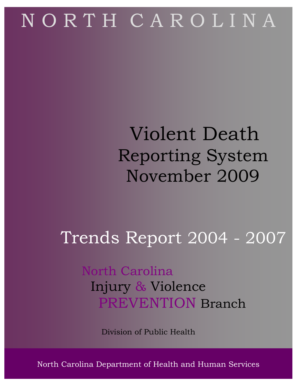# N O R T H C A R O L I N A

## Violent Death Reporting System November 2009

## Trends Report 2004 - 2007

### North Carolina Injury & Violence PREVENTION Branch

Division of Public Health

North Carolina Department of Health a North Carolina Department of Health and Human Services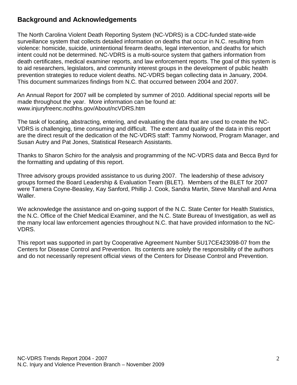#### **Background and Acknowledgements**

The North Carolina Violent Death Reporting System (NC-VDRS) is a CDC-funded state-wide surveillance system that collects detailed information on deaths that occur in N.C. resulting from violence: homicide, suicide, unintentional firearm deaths, legal intervention, and deaths for which intent could not be determined. NC-VDRS is a multi-source system that gathers information from death certificates, medical examiner reports, and law enforcement reports. The goal of this system is to aid researchers, legislators, and community interest groups in the development of public health prevention strategies to reduce violent deaths. NC-VDRS began collecting data in January, 2004. This document summarizes findings from N.C. that occurred between 2004 and 2007.

An Annual Report for 2007 will be completed by summer of 2010. Additional special reports will be made throughout the year. More information can be found at: www.injuryfreenc.ncdhhs.gov/About/ncVDRS.htm

The task of locating, abstracting, entering, and evaluating the data that are used to create the NC-VDRS is challenging, time consuming and difficult. The extent and quality of the data in this report are the direct result of the dedication of the NC-VDRS staff: Tammy Norwood, Program Manager, and Susan Autry and Pat Jones, Statistical Research Assistants.

Thanks to Sharon Schiro for the analysis and programming of the NC-VDRS data and Becca Byrd for the formatting and updating of this report.

Three advisory groups provided assistance to us during 2007. The leadership of these advisory groups formed the Board Leadership & Evaluation Team (BLET). Members of the BLET for 2007 were Tamera Coyne-Beasley, Kay Sanford, Phillip J. Cook, Sandra Martin, Steve Marshall and Anna Waller.

We acknowledge the assistance and on-going support of the N.C. State Center for Health Statistics, the N.C. Office of the Chief Medical Examiner, and the N.C. State Bureau of Investigation, as well as the many local law enforcement agencies throughout N.C. that have provided information to the NC-VDRS.

This report was supported in part by Cooperative Agreement Number 5U17CE423098-07 from the Centers for Disease Control and Prevention. Its contents are solely the responsibility of the authors and do not necessarily represent official views of the Centers for Disease Control and Prevention.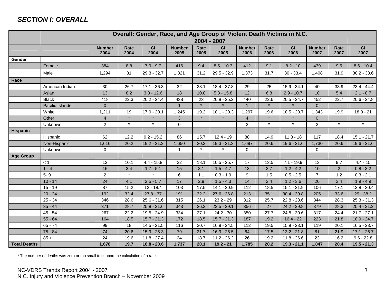#### **SECTION I: OVERALL**

|                     | Overall: Gender, Race, and Age Group of Violent Death Victims in N.C.<br>2004 - 2007 |                       |              |               |                       |              |               |                       |              |               |                       |                |               |
|---------------------|--------------------------------------------------------------------------------------|-----------------------|--------------|---------------|-----------------------|--------------|---------------|-----------------------|--------------|---------------|-----------------------|----------------|---------------|
|                     |                                                                                      | <b>Number</b><br>2004 | Rate<br>2004 | CI<br>2004    | <b>Number</b><br>2005 | Rate<br>2005 | CI<br>2005    | <b>Number</b><br>2006 | Rate<br>2006 | CI<br>2006    | <b>Number</b><br>2007 | Rate<br>2007   | CI<br>2007    |
| Gender              |                                                                                      |                       |              |               |                       |              |               |                       |              |               |                       |                |               |
|                     | Female                                                                               | 384                   | 8.8          | $7.9 - 9.7$   | 416                   | 9.4          | $8.5 - 10.3$  | 412                   | 9.1          | $8.2 - 10$    | 439                   | 9.5            | $8.6 - 10.4$  |
|                     | Male                                                                                 | 1,294                 | 31           | $29.3 - 32.7$ | 1,321                 | 31.2         | $29.5 - 32.9$ | 1,373                 | 31.7         | $30 - 33.4$   | 1,408                 | 31.9           | $30.2 - 33.6$ |
| Race                |                                                                                      |                       |              |               |                       |              |               |                       |              |               |                       |                |               |
|                     | American Indian                                                                      | 30                    | 26.7         | $17.1 - 36.3$ | 32                    | 28.1         | $18.4 - 37.8$ | 29                    | 25           | $15.9 - 34.1$ | 40                    | 33.9           | $23.4 - 44.4$ |
|                     | Asian                                                                                | 13                    | 8.2          | $3.8 - 12.6$  | 18                    | 10.8         | $5.8 - 15.8$  | 12                    | 6.8          | $2.9 - 10.7$  | 10                    | 5.4            | $2.1 - 8.7$   |
|                     | <b>Black</b>                                                                         | 418                   | 22.3         | $20.2 - 24.4$ | 438                   | 23           | $20.8 - 25.2$ | 440                   | 22.6         | $20.5 - 24.7$ | 452                   | 22.7           | $20.6 - 24.8$ |
|                     | Pacific Islander                                                                     | $\mathbf{0}$          |              |               | $\mathbf{1}$          | $\star$      |               | $\mathbf{1}$          |              |               | $\mathbf{0}$          |                |               |
|                     | White                                                                                | 1,211                 | 19           | $17.9 - 20.1$ | 1,245                 | 19.2         | $18.1 - 20.3$ | 1,297                 | 19.6         | $18.5 - 20.7$ | 1,343                 | 19.9           | $18.8 - 21$   |
|                     | Other                                                                                | $\overline{4}$        | $\star$      |               | $\mathbf{3}$          |              |               | $\overline{4}$        |              |               | $\mathbf 0$           |                |               |
|                     | <b>Unknown</b>                                                                       | $\overline{2}$        | $\star$      | $\star$       | $\mathbf 0$           |              |               | $\overline{2}$        | $\star$      | $\star$       | $\overline{2}$        | $\star$        | $\star$       |
| <b>Hispanic</b>     |                                                                                      |                       |              |               |                       |              |               |                       |              |               |                       |                |               |
|                     | Hispanic                                                                             | 62                    | 12.2         | $9.2 - 15.2$  | 86                    | 15.7         | $12.4 - 19$   | 88                    | 14.9         | $11.8 - 18$   | 117                   | 18.4           | $15.1 - 21.7$ |
|                     | Non-Hispanic                                                                         | 1,616                 | 20.2         | $19.2 - 21.2$ | 1,650                 | 20.3         | $19.3 - 21.3$ | 1,697                 | 20.6         | $19.6 - 21.6$ | 1,730                 | 20.6           | $19.6 - 21.6$ |
|                     | Unknown                                                                              | 0                     |              |               |                       |              |               | 0                     |              |               | $\mathbf 0$           |                |               |
| <b>Age Group</b>    |                                                                                      |                       |              |               |                       |              |               |                       |              |               |                       |                |               |
|                     | < 1                                                                                  | 12                    | 10.1         | $4.4 - 15.8$  | 22                    | 18.1         | $10.5 - 25.7$ | 17                    | 13.5         | $7.1 - 19.9$  | 13                    | 9.7            | $4.4 - 15$    |
|                     | $1 - 4$                                                                              | 16                    | 3.4          | $1.7 - 5.1$   | 15                    | 3.1          | $1.5 - 4.7$   | 13                    | 2.7          | $1.2 - 4.2$   | 10                    | $\overline{2}$ | $0.8 - 3.2$   |
|                     | $5 - 9$                                                                              | $\overline{c}$        | $\star$      |               | 6                     | 1.1          | $0.3 - 1.9$   | 9                     | 1.5          | $0.5 - 2.5$   | $\overline{7}$        | 1.2            | $0.3 - 2.1$   |
|                     | $10 - 14$                                                                            | 24                    | 4.1          | $2.5 - 5.7$   | 17                    | 2.9          | $1.5 - 4.3$   | 14                    | 2.4          | $1.2 - 3.6$   | 20                    | 3.4            | $1.9 - 4.9$   |
|                     | $15 - 19$                                                                            | 87                    | 15.2         | $12 - 18.4$   | 103                   | 17.5         | $14.1 - 20.9$ | 112                   | 18.5         | $15.1 - 21.9$ | 106                   | 17.1           | $13.8 - 20.4$ |
|                     | $20 - 24$                                                                            | 192                   | 32.4         | $27.8 - 37$   | 191                   | 32.2         | $27.6 - 36.8$ | 213                   | 35.1         | $30.4 - 39.8$ | 205                   | 33.6           | 29 - 38.2     |
|                     | $25 - 34$                                                                            | 346                   | 28.6         | $25.6 - 31.6$ | 315                   | 26.1         | $23.2 - 29$   | 312                   | 25.7         | $22.8 - 28.6$ | 344                   | 28.3           | $25.3 - 31.3$ |
|                     | $35 - 44$                                                                            | 371                   | 28.7         | $25.8 - 31.6$ | 343                   | 26.3         | $23.5 - 29.1$ | 356                   | 27           | $24.2 - 29.8$ | 379                   | 28.3           | $25.4 - 31.2$ |
|                     | $45 - 54$                                                                            | 267                   | 22.2         | $19.5 - 24.9$ | 334                   | 27.1         | $24.2 - 30$   | 350                   | 27.7         | $24.8 - 30.6$ | 317                   | 24.4           | $21.7 - 27.1$ |
|                     | $55 - 64$                                                                            | 164                   | 18.5         | $15.7 - 21.3$ | 172                   | 18.5         | $15.7 - 21.3$ | 187                   | 19.2         | $16.4 - 22$   | 223                   | 21.8           | $18.9 - 24.7$ |
|                     | $65 - 74$                                                                            | 99                    | 18           | $14.5 - 21.5$ | 116                   | 20.7         | $16.9 - 24.5$ | 112                   | 19.5         | $15.9 - 23.1$ | 119                   | 20.1           | $16.5 - 23.7$ |
|                     | 75 - 84                                                                              | 74                    | 20.6         | $15.9 - 25.3$ | 79                    | 21.7         | $16.9 - 26.5$ | 64                    | 17.5         | $13.2 - 21.8$ | 81                    | 21.9           | $17.1 - 26.7$ |
|                     | $85 +$                                                                               | 24                    | 19.6         | $11.8 - 27.4$ | 24                    | 18.7         | $11.2 - 26.2$ | 26                    | 19.2         | $11.8 - 26.6$ | 23                    | 16.2           | $9.6 - 22.8$  |
| <b>Total Deaths</b> |                                                                                      | 1,678                 | 19.7         | $18.8 - 20.6$ | 1,737                 | 20.1         | $19.2 - 21$   | 1,785                 | 20.2         | $19.3 - 21.1$ | 1,847                 | 20.4           | $19.5 - 21.3$ |

\* The number of deaths was zero or too small to support the calculation of a rate.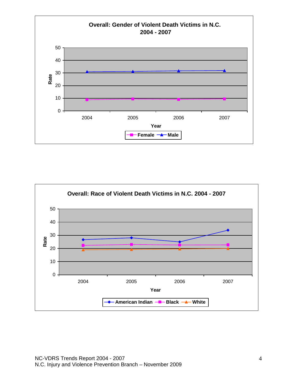

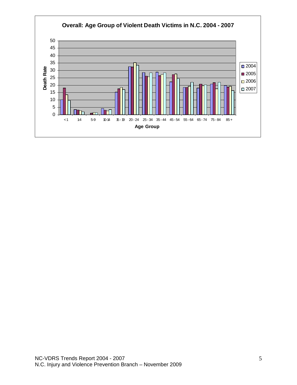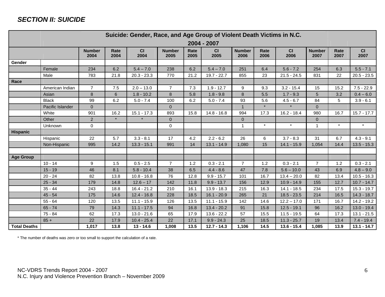#### **SECTION II: SUICIDE**

|                     | Suicide: Gender, Race, and Age Group of Violent Death Victims in N.C. |                       |              |               |                       |              |               |                       |              |               |                       |              |               |
|---------------------|-----------------------------------------------------------------------|-----------------------|--------------|---------------|-----------------------|--------------|---------------|-----------------------|--------------|---------------|-----------------------|--------------|---------------|
|                     |                                                                       | 2004 - 2007           |              |               |                       |              |               |                       |              |               |                       |              |               |
|                     |                                                                       | <b>Number</b><br>2004 | Rate<br>2004 | CI<br>2004    | <b>Number</b><br>2005 | Rate<br>2005 | CI<br>2005    | <b>Number</b><br>2006 | Rate<br>2006 | CI<br>2006    | <b>Number</b><br>2007 | Rate<br>2007 | CI<br>2007    |
| Gender              |                                                                       |                       |              |               |                       |              |               |                       |              |               |                       |              |               |
|                     | Female                                                                | 234                   | 6.2          | $5.4 - 7.0$   | 238                   | 6.2          | $5.4 - 7.0$   | 251                   | 6.4          | $5.6 - 7.2$   | 254                   | 6.3          | $5.5 - 7.1$   |
|                     | Male                                                                  | 783                   | 21.8         | $20.3 - 23.3$ | 770                   | 21.2         | $19.7 - 22.7$ | 855                   | 23           | $21.5 - 24.5$ | 831                   | 22           | $20.5 - 23.5$ |
| Race                |                                                                       |                       |              |               |                       |              |               |                       |              |               |                       |              |               |
|                     | American Indian                                                       | $\overline{7}$        | 7.5          | $2.0 - 13.0$  | $\overline{7}$        | 7.3          | $1.9 - 12.7$  | 9                     | 9.3          | $3.2 - 15.4$  | 15                    | 15.2         | $7.5 - 22.9$  |
|                     | Asian                                                                 | 8                     | 6            | $1.8 - 10.2$  | 8                     | 5.8          | $1.8 - 9.8$   | 8                     | 5.5          | $1.7 - 9.3$   | 5                     | 3.2          | $0.4 - 6.0$   |
|                     | <b>Black</b>                                                          | 99                    | 6.2          | $5.0 - 7.4$   | 100                   | 6.2          | $5.0 - 7.4$   | 93                    | 5.6          | $4.5 - 6.7$   | 84                    | 5            | $3.9 - 6.1$   |
|                     | Pacific Islander                                                      | $\overline{0}$        |              |               | $\Omega$              |              |               | $\overline{1}$        | $\star$      |               | $\Omega$              |              |               |
|                     | White                                                                 | 901                   | 16.2         | $15.1 - 17.3$ | 893                   | 15.8         | $14.8 - 16.8$ | 994                   | 17.3         | $16.2 - 18.4$ | 980                   | 16.7         | $15.7 - 17.7$ |
|                     | Other                                                                 | $\overline{2}$        |              |               | $\overline{0}$        |              |               | $\overline{0}$        |              |               | $\Omega$              |              |               |
|                     | Unknown                                                               | 0                     |              |               | $\mathbf 0$           |              |               | $\mathbf{1}$          | $\star$      | $\star$       | 1                     | $\star$      | $\star$       |
| Hispanic            |                                                                       |                       |              |               |                       |              |               |                       |              |               |                       |              |               |
|                     | Hispanic                                                              | 22                    | 5.7          | $3.3 - 8.1$   | 17                    | 4.2          | $2.2 - 6.2$   | 26                    | 6            | $3.7 - 8.3$   | 31                    | 6.7          | $4.3 - 9.1$   |
|                     | Non-Hispanic                                                          | 995                   | 14.2         | $13.3 - 15.1$ | 991                   | 14           | $13.1 - 14.9$ | 1,080                 | 15           | $14.1 - 15.9$ | 1,054                 | 14.4         | $13.5 - 15.3$ |
|                     |                                                                       |                       |              |               |                       |              |               |                       |              |               |                       |              |               |
| Age Group           |                                                                       |                       |              |               |                       |              |               |                       |              |               |                       |              |               |
|                     | $10 - 14$                                                             | 9                     | 1.5          | $0.5 - 2.5$   | $\overline{7}$        | $1.2$        | $0.3 - 2.1$   | $\overline{7}$        | 1.2          | $0.3 - 2.1$   | $\overline{7}$        | 1.2          | $0.3 - 2.1$   |
|                     | $15 - 19$                                                             | 46                    | 8.1          | $5.8 - 10.4$  | 38                    | 6.5          | $4.4 - 8.6$   | 47                    | 7.8          | $5.6 - 10.0$  | 43                    | 6.9          | $4.8 - 9.0$   |
|                     | $20 - 24$                                                             | 82                    | 13.8         | $10.8 - 16.8$ | 76                    | 12.8         | $9.9 - 15.7$  | 101                   | 16.7         | $13.4 - 20.0$ | 82                    | 13.4         | $10.5 - 16.3$ |
|                     | $25 - 34$                                                             | 179                   | 14.8         | $12.6 - 17$   | 142                   | 11.8         | $9.9 - 13.7$  | 156                   | 12.9         | $10.9 - 14.9$ | 155                   | 12.7         | $10.7 - 14.7$ |
|                     | $35 - 44$                                                             | 243                   | 18.8         | $16.4 - 21.2$ | 210                   | 16.1         | $13.9 - 18.3$ | 215                   | 16.3         | $14.1 - 18.5$ | 234                   | 17.5         | $15.3 - 19.7$ |
|                     | $45 - 54$                                                             | 175                   | 14.6         | $12.4 - 16.8$ | 228                   | 18.5         | $16.1 - 20.9$ | 265                   | 21           | $18.5 - 23.5$ | 214                   | 16.5         | $14.3 - 18.7$ |
|                     | $55 - 64$                                                             | 120                   | 13.5         | $11.1 - 15.9$ | 126                   | 13.5         | $11.1 - 15.9$ | 142                   | 14.6         | $12.2 - 17.0$ | 171                   | 16.7         | $14.2 - 19.2$ |
|                     | $65 - 74$                                                             | 79                    | 14.3         | $11.1 - 17.5$ | 94                    | 16.8         | $13.4 - 20.2$ | 91                    | 15.8         | $12.5 - 19.1$ | 96                    | 16.2         | $13.0 - 19.4$ |
|                     | 75 - 84                                                               | 62                    | 17.3         | $13.0 - 21.6$ | 65                    | 17.9         | $13.6 - 22.2$ | 57                    | 15.5         | $11.5 - 19.5$ | 64                    | 17.3         | $13.1 - 21.5$ |
|                     | $85 +$                                                                | 22                    | 17.9         | $10.4 - 25.4$ | 22                    | 17.1         | $9.9 - 24.3$  | 25                    | 18.5         | $11.3 - 25.7$ | 19                    | 13.4         | $7.4 - 19.4$  |
| <b>Total Deaths</b> |                                                                       | 1,017                 | 13.8         | $13 - 14.6$   | 1,008                 | 13.5         | $12.7 - 14.3$ | 1,106                 | 14.5         | $13.6 - 15.4$ | 1,085                 | 13.9         | $13.1 - 14.7$ |

\* The number of deaths was zero or too small to support the calculation of a rate.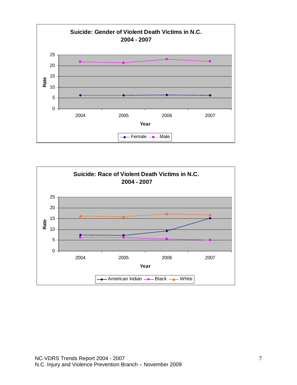

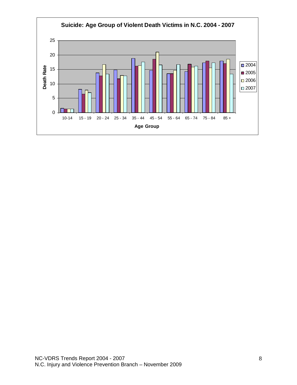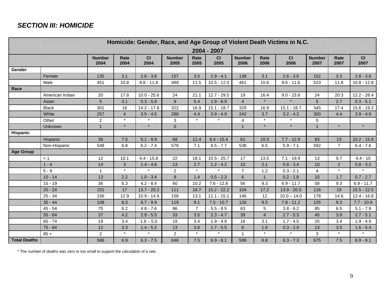#### **SECTION III: HOMICIDE**

|                     | Homicide: Gender, Race, and Age Group of Violent Death Victims in N.C. |                       |                |               |                       |                |               |                       |                |               |                       |                |               |
|---------------------|------------------------------------------------------------------------|-----------------------|----------------|---------------|-----------------------|----------------|---------------|-----------------------|----------------|---------------|-----------------------|----------------|---------------|
|                     | 2004 - 2007                                                            |                       |                |               |                       |                |               |                       |                |               |                       |                |               |
|                     |                                                                        | <b>Number</b><br>2004 | Rate<br>2004   | CI<br>2004    | <b>Number</b><br>2005 | Rate<br>2005   | CI<br>2005    | <b>Number</b><br>2006 | Rate<br>2006   | CI<br>2006    | <b>Number</b><br>2007 | Rate<br>2007   | CI<br>2007    |
| Gender              |                                                                        |                       |                |               |                       |                |               |                       |                |               |                       |                |               |
|                     | Female                                                                 | 135                   | 3.1            | $2.6 - 3.6$   | 157                   | 3.5            | $2.9 - 4.1$   | 138                   | 3.1            | $2.6 - 3.6$   | 152                   | 3.3            | $2.8 - 3.8$   |
|                     | Male                                                                   | 451                   | 10.8           | $9.8 - 11.8$  | 489                   | 11.5           | $10.5 - 12.5$ | 461                   | 10.6           | $9.6 - 11.6$  | 523                   | 11.8           | $10.8 - 12.8$ |
| Race                |                                                                        |                       |                |               |                       |                |               |                       |                |               |                       |                |               |
|                     | American Indian                                                        | 20                    | 17.8           | $10.0 - 25.6$ | 24                    | 21.1           | $12.7 - 29.5$ | 19                    | 16.4           | $9.0 - 23.8$  | 24                    | 20.3           | $12.2 - 28.4$ |
|                     | Asian                                                                  | $5\phantom{.0}$       | 3.1            | $0.3 - 5.9$   | 9                     | 5.4            | $1.9 - 8.9$   | $\overline{4}$        |                |               | 5                     | 2.7            | $0.3 - 5.1$   |
|                     | <b>Black</b>                                                           | 301                   | 16             | $14.2 - 17.8$ | 322                   | 16.9           | $15.1 - 18.7$ | 329                   | 16.9           | $15.1 - 18.7$ | 345                   | 17.4           | $15.6 - 19.2$ |
|                     | White                                                                  | 257                   | $\overline{4}$ | $3.5 - 4.5$   | 288                   | 4.4            | $3.9 - 4.9$   | 242                   | 3.7            | $3.2 - 4.2$   | 300                   | 4.4            | $3.9 - 4.9$   |
|                     | Other                                                                  | $\overline{c}$        | $\star$        | $\star$       | 3                     | $\star$        |               | $\overline{4}$        | $\star$        | $\star$       | $\mathbf 0$           |                |               |
|                     | Unknown                                                                | $\overline{1}$        | $\star$        | $\star$       | $\overline{0}$        |                |               | $\mathbf{1}$          | $\star$        | $\star$       | 1                     | $\star$        | $\star$       |
| <b>Hispanic</b>     |                                                                        |                       |                |               |                       |                |               |                       |                |               |                       |                |               |
|                     | Hispanic                                                               | 38                    | 7.5            | $5.1 - 9.9$   | 68                    | 12.4           | $9.4 - 15.4$  | 61                    | 10.3           | $7.7 - 12.9$  | 83                    | 13             | $10.2 - 15.8$ |
|                     | Non-Hispanic                                                           | 548                   | 6.8            | $6.2 - 7.4$   | 578                   | 7.1            | $6.5 - 7.7$   | 538                   | 6.5            | $5.9 - 7.1$   | 592                   | $\overline{7}$ | $6.4 - 7.6$   |
| <b>Age Group</b>    |                                                                        |                       |                |               |                       |                |               |                       |                |               |                       |                |               |
|                     | < 1                                                                    | 12                    | 10.1           | $4.4 - 15.8$  | 22                    | 18.1           | $10.5 - 25.7$ | 17                    | 13.5           | $7.1 - 19.9$  | 13                    | 9.7            | $4.4 - 15$    |
|                     | $1 - 4$                                                                | 14                    | 3              | $1.4 - 4.6$   | 13                    | 2.7            | $1.2 - 4.2$   | 10                    | 2.1            | $0.8 - 3.4$   | 10                    | $\overline{2}$ | $0.8 - 3.2$   |
|                     | $5 - 9$                                                                | $\mathbf 1$           | $\star$        | $\star$       | $\overline{c}$        | $\star$        | $\pmb{\star}$ | $\overline{7}$        | 1.2            | $0.3 - 2.1$   | 4                     | $\star$        | $\star$       |
|                     | $10 - 14$                                                              | 13                    | 2.2            | $1.0 - 3.4$   | 8                     | 1.4            | $0.5 - 2.3$   | $\,6\,$               | $\mathbf{1}$   | $0.2 - 1.8$   | 10                    | 1.7            | $0.7 - 2.7$   |
|                     | $15 - 19$                                                              | 36                    | 6.3            | $4.2 - 8.4$   | 60                    | 10.2           | $7.6 - 12.8$  | 56                    | 9.3            | $6.9 - 11.7$  | 58                    | 9.3            | $6.9 - 11.7$  |
|                     | $20 - 24$                                                              | 101                   | 17             | $13.7 - 20.3$ | 111                   | 18.7           | $15.2 - 22.2$ | 104                   | 17.2           | $13.9 - 20.5$ | 116                   | 19             | $15.5 - 22.5$ |
|                     | $25 - 34$                                                              | 156                   | 12.9           | $10.9 - 14.9$ | 158                   | 13.1           | $11.1 - 15.1$ | 146                   | 12             | $10.0 - 14.0$ | 178                   | 14.6           | $12.4 - 16.8$ |
|                     | $35 - 44$                                                              | 108                   | 8.3            | $6.7 - 9.9$   | 119                   | 9.1            | $7.5 - 10.7$  | 126                   | 9.5            | $7.8 - 11.2$  | 125                   | 9.3            | $7.7 - 10.9$  |
|                     | $45 - 54$                                                              | 75                    | 6.2            | $4.8 - 7.6$   | 86                    | $\overline{7}$ | $5.5 - 8.5$   | 63                    | $\sqrt{5}$     | $3.8 - 6.2$   | 85                    | 6.5            | $5.1 - 7.9$   |
|                     | $55 - 64$                                                              | 37                    | 4.2            | $2.9 - 5.5$   | 33                    | 3.5            | $2.3 - 4.7$   | 39                    | $\overline{4}$ | $2.7 - 5.3$   | 40                    | 3.9            | $2.7 - 5.1$   |
|                     | $65 - 74$                                                              | 19                    | 3.4            | $1.8 - 5.0$   | 19                    | 3.4            | $1.9 - 4.9$   | 18                    | 3.1            | $1.7 - 4.5$   | 20                    | 3.4            | $1.9 - 4.9$   |
|                     | $75 - 84$                                                              | 12                    | 3.3            | $1.4 - 5.2$   | 13                    | 3.6            | $1.7 - 5.5$   | 6                     | 1.6            | $0.3 - 2.9$   | 13                    | 3.5            | $1.6 - 5.4$   |
|                     | $85 +$                                                                 | $\overline{2}$        |                |               | $\overline{2}$        | $\star$        |               |                       |                |               | 3                     |                |               |
| <b>Total Deaths</b> |                                                                        | 586                   | 6.9            | $6.3 - 7.5$   | 646                   | 7.5            | $6.9 - 8.1$   | 599                   | 6.8            | $6.3 - 7.3$   | 675                   | 7.5            | $6.9 - 8.1$   |

\* The number of deaths was zero or too small to support the calculation of a rate.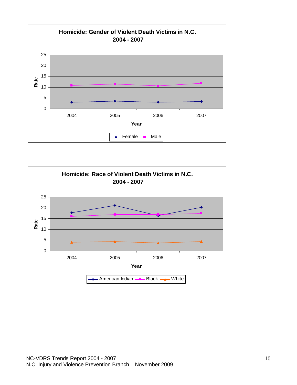

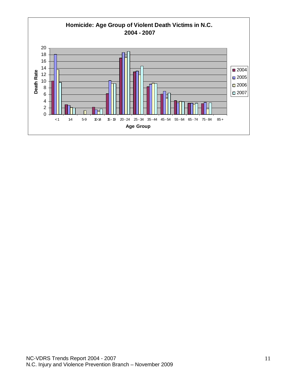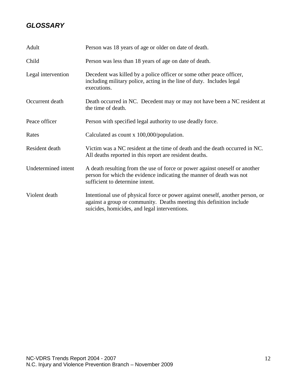#### **GLOSSARY**

| Adult               | Person was 18 years of age or older on date of death.                                                                                                                                                   |
|---------------------|---------------------------------------------------------------------------------------------------------------------------------------------------------------------------------------------------------|
| Child               | Person was less than 18 years of age on date of death.                                                                                                                                                  |
| Legal intervention  | Decedent was killed by a police officer or some other peace officer,<br>including military police, acting in the line of duty. Includes legal<br>executions.                                            |
| Occurrent death     | Death occurred in NC. Decedent may or may not have been a NC resident at<br>the time of death.                                                                                                          |
| Peace officer       | Person with specified legal authority to use deadly force.                                                                                                                                              |
| Rates               | Calculated as count x 100,000/population.                                                                                                                                                               |
| Resident death      | Victim was a NC resident at the time of death and the death occurred in NC.<br>All deaths reported in this report are resident deaths.                                                                  |
| Undetermined intent | A death resulting from the use of force or power against oneself or another<br>person for which the evidence indicating the manner of death was not<br>sufficient to determine intent.                  |
| Violent death       | Intentional use of physical force or power against oneself, another person, or<br>against a group or community. Deaths meeting this definition include<br>suicides, homicides, and legal interventions. |